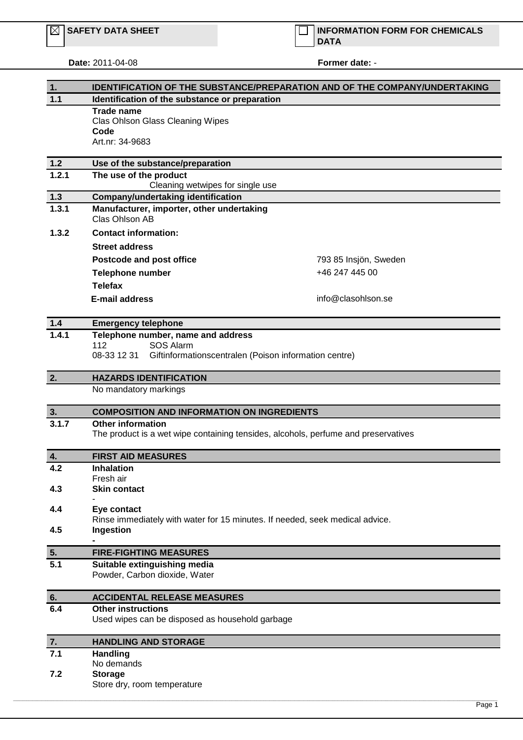## **Date:** 2011-04-08 **Former date:** -

| 1.        | <b>IDENTIFICATION OF THE SUBSTANCE/PREPARATION AND OF THE COMPANY/UNDERTAKING</b>        |                       |  |
|-----------|------------------------------------------------------------------------------------------|-----------------------|--|
| 1.1       | Identification of the substance or preparation                                           |                       |  |
|           | <b>Trade name</b>                                                                        |                       |  |
|           | Clas Ohlson Glass Cleaning Wipes<br>Code                                                 |                       |  |
|           | Art.nr: 34-9683                                                                          |                       |  |
|           |                                                                                          |                       |  |
| $1.2$     | Use of the substance/preparation                                                         |                       |  |
| 1.2.1     | The use of the product<br>Cleaning wetwipes for single use                               |                       |  |
| $1.3$     | Company/undertaking identification                                                       |                       |  |
| 1.3.1     | Manufacturer, importer, other undertaking<br>Clas Ohlson AB                              |                       |  |
| 1.3.2     | <b>Contact information:</b>                                                              |                       |  |
|           | <b>Street address</b>                                                                    |                       |  |
|           | Postcode and post office                                                                 | 793 85 Insjön, Sweden |  |
|           | <b>Telephone number</b>                                                                  | +46 247 445 00        |  |
|           | <b>Telefax</b>                                                                           |                       |  |
|           | <b>E-mail address</b>                                                                    | info@clasohlson.se    |  |
|           |                                                                                          |                       |  |
| $1.4$     | <b>Emergency telephone</b>                                                               |                       |  |
| 1.4.1     | Telephone number, name and address                                                       |                       |  |
|           | 112<br>SOS Alarm<br>08-33 12 31<br>Giftinformationscentralen (Poison information centre) |                       |  |
|           |                                                                                          |                       |  |
| 2.        | <b>HAZARDS IDENTIFICATION</b>                                                            |                       |  |
|           | No mandatory markings                                                                    |                       |  |
| 3.        | <b>COMPOSITION AND INFORMATION ON INGREDIENTS</b>                                        |                       |  |
| 3.1.7     | <b>Other information</b>                                                                 |                       |  |
|           | The product is a wet wipe containing tensides, alcohols, perfume and preservatives       |                       |  |
| 4.        | <b>FIRST AID MEASURES</b>                                                                |                       |  |
| 4.2       | Inhalation                                                                               |                       |  |
|           | Fresh air                                                                                |                       |  |
| 4.3       | <b>Skin contact</b>                                                                      |                       |  |
| 4.4       | Eye contact                                                                              |                       |  |
|           | Rinse immediately with water for 15 minutes. If needed, seek medical advice.             |                       |  |
| 4.5       | Ingestion                                                                                |                       |  |
| 5.        | <b>FIRE-FIGHTING MEASURES</b>                                                            |                       |  |
| 5.1       | Suitable extinguishing media                                                             |                       |  |
|           | Powder, Carbon dioxide, Water                                                            |                       |  |
|           |                                                                                          |                       |  |
| 6.<br>6.4 | <b>ACCIDENTAL RELEASE MEASURES</b><br><b>Other instructions</b>                          |                       |  |
|           | Used wipes can be disposed as household garbage                                          |                       |  |
| 7.        | <b>HANDLING AND STORAGE</b>                                                              |                       |  |
| 7.1       | Handling                                                                                 |                       |  |
|           | No demands                                                                               |                       |  |
| 7.2       | <b>Storage</b>                                                                           |                       |  |
|           | Store dry, room temperature                                                              |                       |  |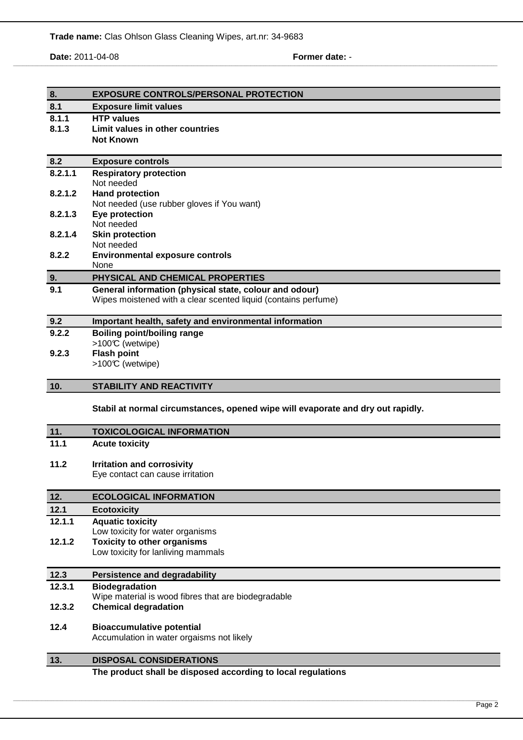**Date:** 2011-04-08 **Former date:** -

,我们也不能会在这里,我们的人们就会在这里,我们也不能会在这里,我们也不能会在这里,我们也不能会在这里,我们也不能会在这里,我们也不能会在这里,我们也不能会在这里

| 8.      | <b>EXPOSURE CONTROLS/PERSONAL PROTECTION</b>                                                                             |  |  |  |
|---------|--------------------------------------------------------------------------------------------------------------------------|--|--|--|
| 8.1     | <b>Exposure limit values</b>                                                                                             |  |  |  |
| 8.1.1   | <b>HTP values</b>                                                                                                        |  |  |  |
| 8.1.3   | Limit values in other countries                                                                                          |  |  |  |
|         | <b>Not Known</b>                                                                                                         |  |  |  |
| 8.2     | <b>Exposure controls</b>                                                                                                 |  |  |  |
| 8.2.1.1 | <b>Respiratory protection</b>                                                                                            |  |  |  |
|         | Not needed                                                                                                               |  |  |  |
| 8.2.1.2 | <b>Hand protection</b>                                                                                                   |  |  |  |
| 8.2.1.3 | Not needed (use rubber gloves if You want)<br>Eye protection                                                             |  |  |  |
|         | Not needed                                                                                                               |  |  |  |
| 8.2.1.4 | <b>Skin protection</b>                                                                                                   |  |  |  |
|         | Not needed                                                                                                               |  |  |  |
| 8.2.2   | <b>Environmental exposure controls</b>                                                                                   |  |  |  |
|         | None                                                                                                                     |  |  |  |
| 9.      | PHYSICAL AND CHEMICAL PROPERTIES                                                                                         |  |  |  |
| 9.1     | General information (physical state, colour and odour)<br>Wipes moistened with a clear scented liquid (contains perfume) |  |  |  |
|         |                                                                                                                          |  |  |  |
| 9.2     | Important health, safety and environmental information                                                                   |  |  |  |
| 9.2.2   | <b>Boiling point/boiling range</b>                                                                                       |  |  |  |
|         | >100℃ (wetwipe)                                                                                                          |  |  |  |
| 9.2.3   | <b>Flash point</b>                                                                                                       |  |  |  |
|         | >100℃ (wetwipe)                                                                                                          |  |  |  |
|         |                                                                                                                          |  |  |  |
| 10.     | <b>STABILITY AND REACTIVITY</b>                                                                                          |  |  |  |
|         |                                                                                                                          |  |  |  |
|         | Stabil at normal circumstances, opened wipe will evaporate and dry out rapidly.                                          |  |  |  |
| 11.     | <b>TOXICOLOGICAL INFORMATION</b>                                                                                         |  |  |  |
| 11.1    | <b>Acute toxicity</b>                                                                                                    |  |  |  |
|         |                                                                                                                          |  |  |  |
| 11.2    | <b>Irritation and corrosivity</b>                                                                                        |  |  |  |
|         | Eye contact can cause irritation                                                                                         |  |  |  |
| 12.     | <b>ECOLOGICAL INFORMATION</b>                                                                                            |  |  |  |
| 12.1    | <b>Ecotoxicity</b>                                                                                                       |  |  |  |
| 12.1.1  | <b>Aquatic toxicity</b>                                                                                                  |  |  |  |
|         | Low toxicity for water organisms                                                                                         |  |  |  |
| 12.1.2  | <b>Toxicity to other organisms</b>                                                                                       |  |  |  |
|         | Low toxicity for lanliving mammals                                                                                       |  |  |  |
| 12.3    | <b>Persistence and degradability</b>                                                                                     |  |  |  |
| 12.3.1  | <b>Biodegradation</b>                                                                                                    |  |  |  |
|         | Wipe material is wood fibres that are biodegradable                                                                      |  |  |  |
| 12.3.2  | <b>Chemical degradation</b>                                                                                              |  |  |  |
|         |                                                                                                                          |  |  |  |
| 12.4    | <b>Bioaccumulative potential</b>                                                                                         |  |  |  |
|         | Accumulation in water orgaisms not likely                                                                                |  |  |  |
| 13.     | <b>DISPOSAL CONSIDERATIONS</b>                                                                                           |  |  |  |

\_\_\_\_\_\_\_\_\_\_\_\_\_\_\_\_\_\_\_\_\_\_\_\_\_\_\_\_\_\_\_\_\_\_\_\_\_\_\_\_\_\_\_\_\_\_\_\_\_\_\_\_\_\_\_\_\_\_\_\_\_\_\_\_\_\_\_\_\_\_\_\_\_\_\_\_\_\_\_\_\_\_\_\_\_\_\_\_\_\_\_\_\_\_\_\_\_\_\_\_\_\_\_\_\_\_\_\_\_\_\_\_\_\_\_\_\_\_\_\_\_\_\_\_\_\_\_\_\_\_\_\_\_\_\_\_\_\_\_\_\_\_\_\_\_\_\_\_\_\_\_\_\_\_\_\_\_\_\_\_\_\_\_\_\_\_\_\_\_\_\_\_\_\_\_\_\_\_\_\_\_\_\_\_\_\_\_\_\_\_\_\_\_\_\_\_\_\_\_\_\_\_\_\_\_\_\_\_\_\_\_\_\_\_\_\_\_\_\_\_\_\_\_\_\_\_\_\_\_\_\_\_\_\_\_\_\_\_\_\_\_\_\_\_\_\_\_\_\_\_\_\_\_\_\_